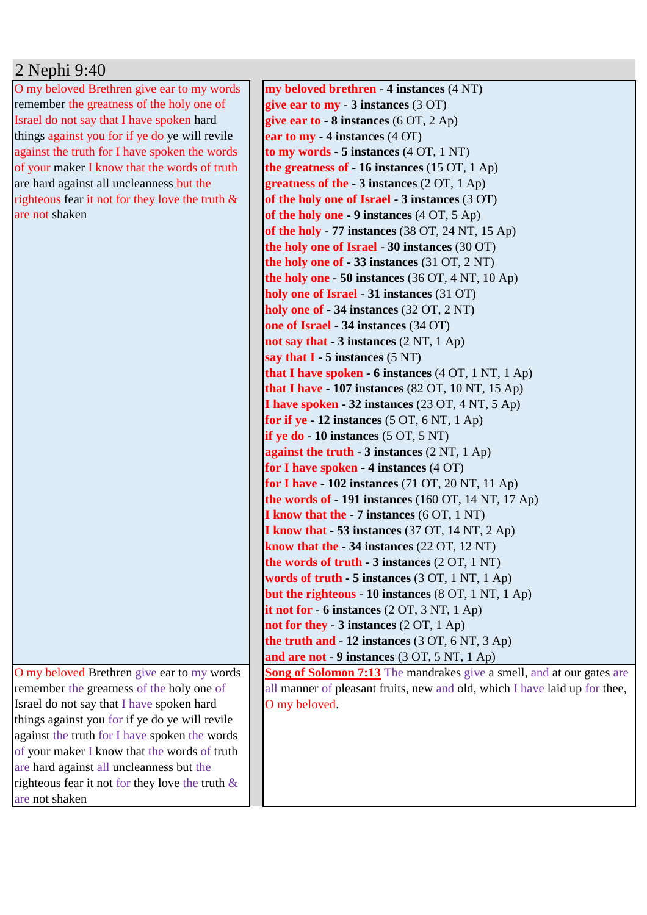## 2 Nephi 9:40

O my beloved Brethren give ear to my words remember the greatness of the holy one of Israel do not say that I have spoken hard things against you for if ye do ye will revile against the truth for I have spoken the words of your maker I know that the words of truth are hard against all uncleanness but the righteous fear it not for they love the truth & are not shaken

O my beloved Brethren give ear to my words remember the greatness of the holy one of Israel do not say that I have spoken hard things against you for if ye do ye will revile against the truth for I have spoken the words of your maker I know that the words of truth are hard against all uncleanness but the righteous fear it not for they love the truth & are not shaken

**my beloved brethren - 4 instances** (4 NT) **give ear to my - 3 instances** (3 OT) **give ear to - 8 instances** (6 OT, 2 Ap) **ear to my - 4 instances** (4 OT) **to my words - 5 instances** (4 OT, 1 NT) **the greatness of - 16 instances** (15 OT, 1 Ap) **greatness of the - 3 instances** (2 OT, 1 Ap) **of the holy one of Israel - 3 instances** (3 OT) **of the holy one - 9 instances** (4 OT, 5 Ap) **of the holy - 77 instances** (38 OT, 24 NT, 15 Ap) **the holy one of Israel - 30 instances** (30 OT) **the holy one of - 33 instances** (31 OT, 2 NT) **the holy one - 50 instances** (36 OT, 4 NT, 10 Ap) **holy one of Israel - 31 instances** (31 OT) **holy one of - 34 instances** (32 OT, 2 NT) **one of Israel - 34 instances** (34 OT) **not say that - 3 instances** (2 NT, 1 Ap) **say that I - 5 instances** (5 NT) **that I have spoken - 6 instances** (4 OT, 1 NT, 1 Ap) **that I have - 107 instances** (82 OT, 10 NT, 15 Ap) **I have spoken - 32 instances** (23 OT, 4 NT, 5 Ap) **for if ye - 12 instances** (5 OT, 6 NT, 1 Ap) **if ye do - 10 instances** (5 OT, 5 NT) **against the truth - 3 instances** (2 NT, 1 Ap) **for I have spoken - 4 instances** (4 OT) **for I have - 102 instances** (71 OT, 20 NT, 11 Ap) **the words of - 191 instances** (160 OT, 14 NT, 17 Ap) **I know that the - 7 instances** (6 OT, 1 NT) **I know that - 53 instances** (37 OT, 14 NT, 2 Ap) **know that the - 34 instances** (22 OT, 12 NT) **the words of truth - 3 instances** (2 OT, 1 NT) **words of truth - 5 instances** (3 OT, 1 NT, 1 Ap) **but the righteous - 10 instances** (8 OT, 1 NT, 1 Ap) **it not for - 6 instances** (2 OT, 3 NT, 1 Ap) **not for they - 3 instances** (2 OT, 1 Ap) **the truth and - 12 instances** (3 OT, 6 NT, 3 Ap) **and are not - 9 instances** (3 OT, 5 NT, 1 Ap) **Song of Solomon 7:13** The mandrakes give a smell, and at our gates are all manner of pleasant fruits, new and old, which I have laid up for thee, O my beloved.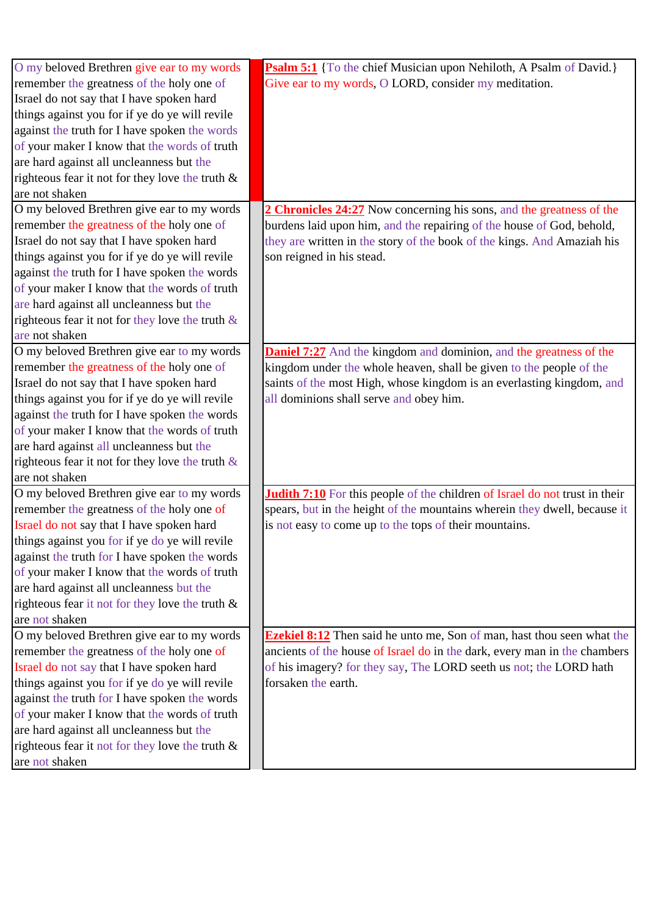| O my beloved Brethren give ear to my words         | <b>Psalm 5:1</b> {To the chief Musician upon Nehiloth, A Psalm of David.}          |
|----------------------------------------------------|------------------------------------------------------------------------------------|
| remember the greatness of the holy one of          | Give ear to my words, O LORD, consider my meditation.                              |
| Israel do not say that I have spoken hard          |                                                                                    |
| things against you for if ye do ye will revile     |                                                                                    |
| against the truth for I have spoken the words      |                                                                                    |
| of your maker I know that the words of truth       |                                                                                    |
| are hard against all uncleanness but the           |                                                                                    |
| righteous fear it not for they love the truth $\&$ |                                                                                    |
| are not shaken                                     |                                                                                    |
| O my beloved Brethren give ear to my words         | 2 Chronicles 24:27 Now concerning his sons, and the greatness of the               |
| remember the greatness of the holy one of          | burdens laid upon him, and the repairing of the house of God, behold,              |
| Israel do not say that I have spoken hard          | they are written in the story of the book of the kings. And Amaziah his            |
| things against you for if ye do ye will revile     | son reigned in his stead.                                                          |
| against the truth for I have spoken the words      |                                                                                    |
| of your maker I know that the words of truth       |                                                                                    |
| are hard against all uncleanness but the           |                                                                                    |
| righteous fear it not for they love the truth $\&$ |                                                                                    |
| are not shaken                                     |                                                                                    |
| O my beloved Brethren give ear to my words         | <b>Daniel 7:27</b> And the kingdom and dominion, and the greatness of the          |
| remember the greatness of the holy one of          | kingdom under the whole heaven, shall be given to the people of the                |
| Israel do not say that I have spoken hard          | saints of the most High, whose kingdom is an everlasting kingdom, and              |
| things against you for if ye do ye will revile     | all dominions shall serve and obey him.                                            |
| against the truth for I have spoken the words      |                                                                                    |
| of your maker I know that the words of truth       |                                                                                    |
| are hard against all uncleanness but the           |                                                                                    |
| righteous fear it not for they love the truth $\&$ |                                                                                    |
| are not shaken                                     |                                                                                    |
| O my beloved Brethren give ear to my words         | <b>Judith 7:10</b> For this people of the children of Israel do not trust in their |
| remember the greatness of the holy one of          | spears, but in the height of the mountains wherein they dwell, because it          |
| Israel do not say that I have spoken hard          | is not easy to come up to the tops of their mountains.                             |
| things against you for if ye do ye will revile     |                                                                                    |
| against the truth for I have spoken the words      |                                                                                    |
| of your maker I know that the words of truth       |                                                                                    |
| are hard against all uncleanness but the           |                                                                                    |
| righteous fear it not for they love the truth $\&$ |                                                                                    |
| are not shaken                                     |                                                                                    |
| O my beloved Brethren give ear to my words         | <b>Ezekiel 8:12</b> Then said he unto me, Son of man, hast thou seen what the      |
| remember the greatness of the holy one of          | ancients of the house of Israel do in the dark, every man in the chambers          |
| Israel do not say that I have spoken hard          | of his imagery? for they say, The LORD seeth us not; the LORD hath                 |
| things against you for if ye do ye will revile     | forsaken the earth.                                                                |
| against the truth for I have spoken the words      |                                                                                    |
| of your maker I know that the words of truth       |                                                                                    |
| are hard against all uncleanness but the           |                                                                                    |
| righteous fear it not for they love the truth $\&$ |                                                                                    |
| are not shaken                                     |                                                                                    |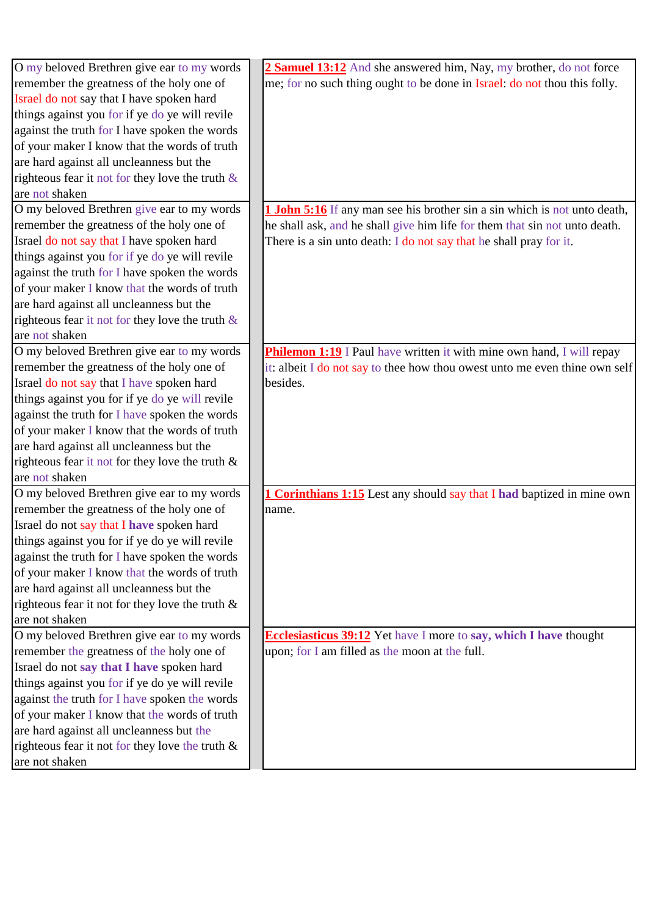| O my beloved Brethren give ear to my words         | 2 Samuel 13:12 And she answered him, Nay, my brother, do not force            |
|----------------------------------------------------|-------------------------------------------------------------------------------|
| remember the greatness of the holy one of          | me; for no such thing ought to be done in Israel: do not thou this folly.     |
| Israel do not say that I have spoken hard          |                                                                               |
| things against you for if ye do ye will revile     |                                                                               |
| against the truth for I have spoken the words      |                                                                               |
| of your maker I know that the words of truth       |                                                                               |
| are hard against all uncleanness but the           |                                                                               |
| righteous fear it not for they love the truth $\&$ |                                                                               |
| are not shaken                                     |                                                                               |
| O my beloved Brethren give ear to my words         | 1 John 5:16 If any man see his brother sin a sin which is not unto death,     |
| remember the greatness of the holy one of          | he shall ask, and he shall give him life for them that sin not unto death.    |
| Israel do not say that I have spoken hard          | There is a sin unto death: I do not say that he shall pray for it.            |
| things against you for if ye do ye will revile     |                                                                               |
| against the truth for I have spoken the words      |                                                                               |
| of your maker I know that the words of truth       |                                                                               |
| are hard against all uncleanness but the           |                                                                               |
| righteous fear it not for they love the truth $\&$ |                                                                               |
| are not shaken                                     |                                                                               |
| O my beloved Brethren give ear to my words         | <b>Philemon 1:19</b> I Paul have written it with mine own hand, I will repay  |
| remember the greatness of the holy one of          | it: albeit I do not say to thee how thou owest unto me even thine own self    |
| Israel do not say that I have spoken hard          | besides.                                                                      |
| things against you for if ye do ye will revile     |                                                                               |
| against the truth for I have spoken the words      |                                                                               |
| of your maker I know that the words of truth       |                                                                               |
| are hard against all uncleanness but the           |                                                                               |
| righteous fear it not for they love the truth $\&$ |                                                                               |
| are not shaken                                     |                                                                               |
| O my beloved Brethren give ear to my words         | <b>1 Corinthians 1:15</b> Lest any should say that I had baptized in mine own |
| remember the greatness of the holy one of          | name.                                                                         |
| Israel do not say that I have spoken hard          |                                                                               |
| things against you for if ye do ye will revile     |                                                                               |
| against the truth for I have spoken the words      |                                                                               |
| of your maker I know that the words of truth       |                                                                               |
| are hard against all uncleanness but the           |                                                                               |
| righteous fear it not for they love the truth $\&$ |                                                                               |
| are not shaken                                     |                                                                               |
| O my beloved Brethren give ear to my words         | <b>Ecclesiasticus 39:12</b> Yet have I more to say, which I have thought      |
| remember the greatness of the holy one of          | upon; for I am filled as the moon at the full.                                |
| Israel do not say that I have spoken hard          |                                                                               |
| things against you for if ye do ye will revile     |                                                                               |
| against the truth for I have spoken the words      |                                                                               |
| of your maker I know that the words of truth       |                                                                               |
| are hard against all uncleanness but the           |                                                                               |
| righteous fear it not for they love the truth $\&$ |                                                                               |
| are not shaken                                     |                                                                               |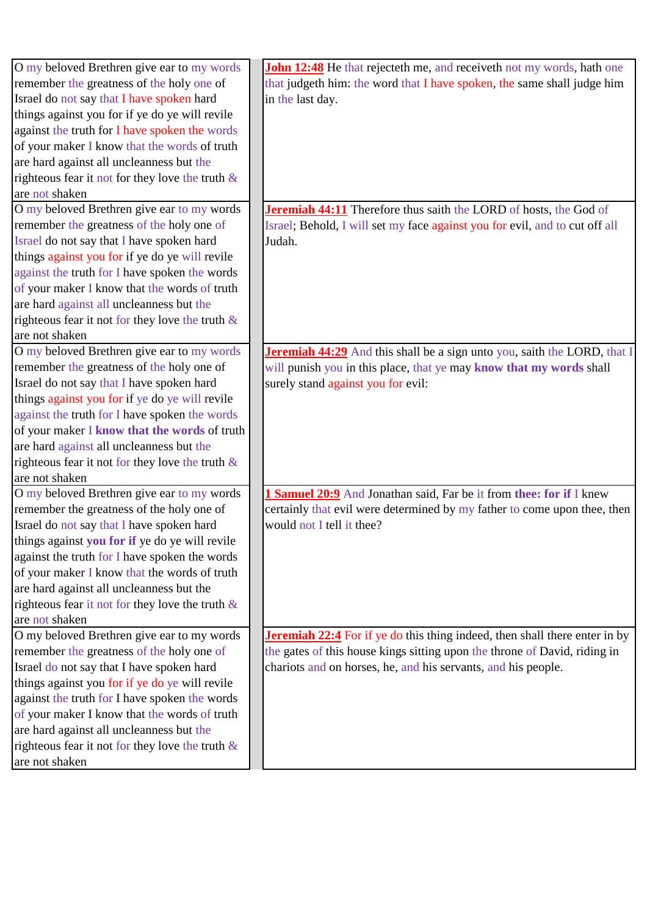| O my beloved Brethren give ear to my words         | John 12:48 He that rejecteth me, and receiveth not my words, hath one             |
|----------------------------------------------------|-----------------------------------------------------------------------------------|
| remember the greatness of the holy one of          | that judgeth him: the word that I have spoken, the same shall judge him           |
| Israel do not say that I have spoken hard          | in the last day.                                                                  |
| things against you for if ye do ye will revile     |                                                                                   |
| against the truth for I have spoken the words      |                                                                                   |
| of your maker I know that the words of truth       |                                                                                   |
| are hard against all uncleanness but the           |                                                                                   |
| righteous fear it not for they love the truth $\&$ |                                                                                   |
| are not shaken                                     |                                                                                   |
| O my beloved Brethren give ear to my words         | Jeremiah 44:11 Therefore thus saith the LORD of hosts, the God of                 |
| remember the greatness of the holy one of          | Israel; Behold, I will set my face against you for evil, and to cut off all       |
| Israel do not say that I have spoken hard          | Judah.                                                                            |
| things against you for if ye do ye will revile     |                                                                                   |
| against the truth for I have spoken the words      |                                                                                   |
| of your maker I know that the words of truth       |                                                                                   |
| are hard against all uncleanness but the           |                                                                                   |
| righteous fear it not for they love the truth $\&$ |                                                                                   |
| are not shaken                                     |                                                                                   |
| O my beloved Brethren give ear to my words         | <b>Jeremiah 44:29</b> And this shall be a sign unto you, saith the LORD, that I   |
| remember the greatness of the holy one of          | will punish you in this place, that ye may know that my words shall               |
| Israel do not say that I have spoken hard          | surely stand against you for evil:                                                |
| things against you for if ye do ye will revile     |                                                                                   |
| against the truth for I have spoken the words      |                                                                                   |
| of your maker I know that the words of truth       |                                                                                   |
| are hard against all uncleanness but the           |                                                                                   |
| righteous fear it not for they love the truth $\&$ |                                                                                   |
| are not shaken                                     |                                                                                   |
| O my beloved Brethren give ear to my words         | 1 Samuel 20:9 And Jonathan said, Far be it from thee: for if I knew               |
| remember the greatness of the holy one of          | certainly that evil were determined by my father to come upon thee, then          |
| Israel do not say that I have spoken hard          | would not I tell it thee?                                                         |
| things against you for if ye do ye will revile     |                                                                                   |
| against the truth for I have spoken the words      |                                                                                   |
| of your maker I know that the words of truth       |                                                                                   |
| are hard against all uncleanness but the           |                                                                                   |
| righteous fear it not for they love the truth $\&$ |                                                                                   |
| are not shaken                                     |                                                                                   |
| O my beloved Brethren give ear to my words         | <b>Jeremiah 22:4</b> For if ye do this thing indeed, then shall there enter in by |
| remember the greatness of the holy one of          | the gates of this house kings sitting upon the throne of David, riding in         |
| Israel do not say that I have spoken hard          | chariots and on horses, he, and his servants, and his people.                     |
| things against you for if ye do ye will revile     |                                                                                   |
| against the truth for I have spoken the words      |                                                                                   |
| of your maker I know that the words of truth       |                                                                                   |
| are hard against all uncleanness but the           |                                                                                   |
| righteous fear it not for they love the truth $\&$ |                                                                                   |
| are not shaken                                     |                                                                                   |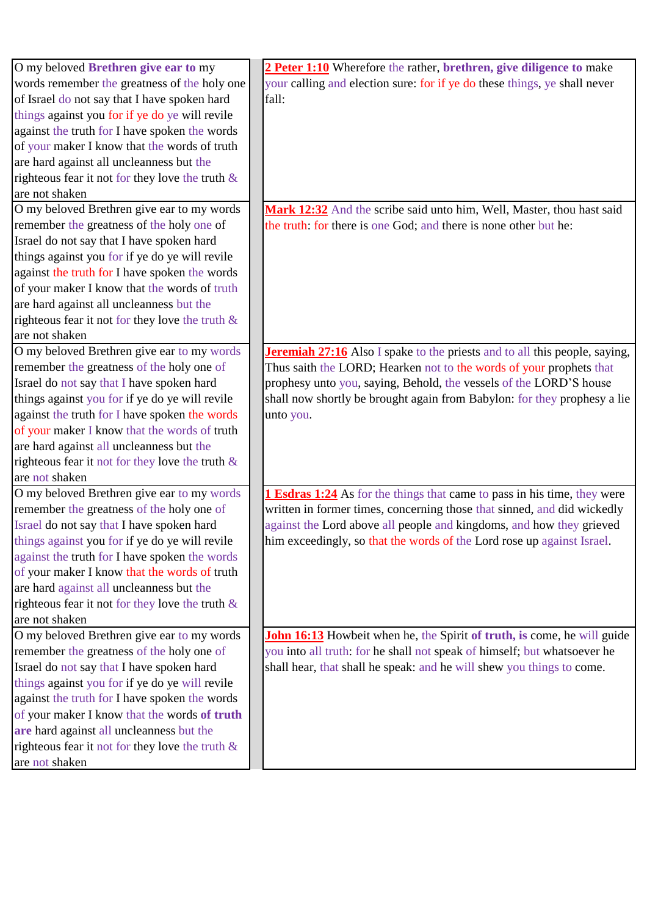| O my beloved <b>Brethren give ear to my</b>        | 2 Peter 1:10 Wherefore the rather, brethren, give diligence to make               |
|----------------------------------------------------|-----------------------------------------------------------------------------------|
| words remember the greatness of the holy one       | your calling and election sure: for if ye do these things, ye shall never         |
| of Israel do not say that I have spoken hard       | fall:                                                                             |
| things against you for if ye do ye will revile     |                                                                                   |
| against the truth for I have spoken the words      |                                                                                   |
| of your maker I know that the words of truth       |                                                                                   |
| are hard against all uncleanness but the           |                                                                                   |
| righteous fear it not for they love the truth $\&$ |                                                                                   |
| are not shaken                                     |                                                                                   |
| O my beloved Brethren give ear to my words         | Mark 12:32 And the scribe said unto him, Well, Master, thou hast said             |
| remember the greatness of the holy one of          | the truth: for there is one God; and there is none other but he:                  |
| Israel do not say that I have spoken hard          |                                                                                   |
| things against you for if ye do ye will revile     |                                                                                   |
| against the truth for I have spoken the words      |                                                                                   |
| of your maker I know that the words of truth       |                                                                                   |
| are hard against all uncleanness but the           |                                                                                   |
| righteous fear it not for they love the truth $\&$ |                                                                                   |
| are not shaken                                     |                                                                                   |
| O my beloved Brethren give ear to my words         | <b>Jeremiah 27:16</b> Also I spake to the priests and to all this people, saying, |
| remember the greatness of the holy one of          | Thus saith the LORD; Hearken not to the words of your prophets that               |
| Israel do not say that I have spoken hard          | prophesy unto you, saying, Behold, the vessels of the LORD'S house                |
| things against you for if ye do ye will revile     | shall now shortly be brought again from Babylon: for they prophesy a lie          |
| against the truth for I have spoken the words      | unto you.                                                                         |
| of your maker I know that the words of truth       |                                                                                   |
| are hard against all uncleanness but the           |                                                                                   |
| righteous fear it not for they love the truth $\&$ |                                                                                   |
| are not shaken                                     |                                                                                   |
| O my beloved Brethren give ear to my words         | <b>1 Esdras 1:24</b> As for the things that came to pass in his time, they were   |
| remember the greatness of the holy one of          | written in former times, concerning those that sinned, and did wickedly           |
| Israel do not say that I have spoken hard          | against the Lord above all people and kingdoms, and how they grieved              |
| things against you for if ye do ye will revile     | him exceedingly, so that the words of the Lord rose up against Israel.            |
| against the truth for I have spoken the words      |                                                                                   |
| of your maker I know that the words of truth       |                                                                                   |
| are hard against all uncleanness but the           |                                                                                   |
| righteous fear it not for they love the truth $\&$ |                                                                                   |
| are not shaken                                     |                                                                                   |
| O my beloved Brethren give ear to my words         | John 16:13 Howbeit when he, the Spirit of truth, is come, he will guide           |
| remember the greatness of the holy one of          | you into all truth: for he shall not speak of himself; but whatsoever he          |
| Israel do not say that I have spoken hard          | shall hear, that shall he speak: and he will shew you things to come.             |
| things against you for if ye do ye will revile     |                                                                                   |
| against the truth for I have spoken the words      |                                                                                   |
| of your maker I know that the words of truth       |                                                                                   |
| are hard against all uncleanness but the           |                                                                                   |
| righteous fear it not for they love the truth $\&$ |                                                                                   |
| are not shaken                                     |                                                                                   |